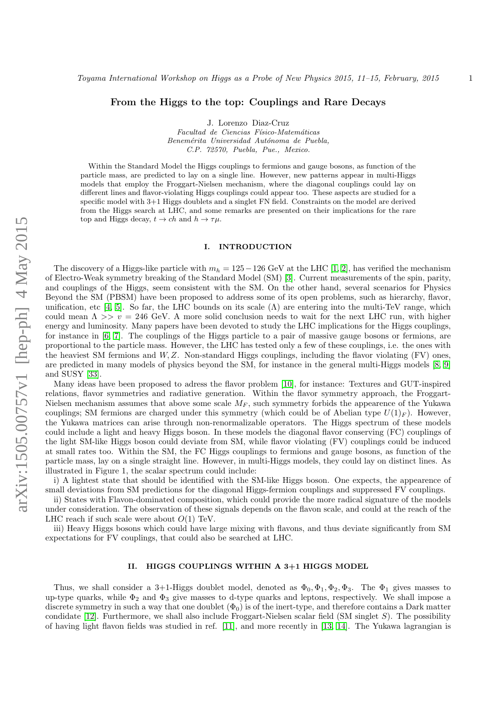# From the Higgs to the top: Couplings and Rare Decays

J. Lorenzo Diaz-Cruz

Facultad de Ciencias Físico-Matemáticas Benemérita Universidad Autónoma de Puebla, C.P. 72570, Puebla, Pue., Mexico.

Within the Standard Model the Higgs couplings to fermions and gauge bosons, as function of the particle mass, are predicted to lay on a single line. However, new patterns appear in multi-Higgs models that employ the Froggart-Nielsen mechanism, where the diagonal couplings could lay on different lines and flavor-violating Higgs couplings could appear too. These aspects are studied for a specific model with 3+1 Higgs doublets and a singlet FN field. Constraints on the model are derived from the Higgs search at LHC, and some remarks are presented on their implications for the rare top and Higgs decay,  $t \to ch$  and  $h \to \tau \mu$ .

#### I. INTRODUCTION

The discovery of a Higgs-like particle with  $m_h = 125-126$  GeV at the LHC [\[1,](#page-5-0) [2\]](#page-5-1), has verified the mechanism of Electro-Weak symmetry breaking of the Standard Model (SM) [\[3\]](#page-5-2). Current measurements of the spin, parity, and couplings of the Higgs, seem consistent with the SM. On the other hand, several scenarios for Physics Beyond the SM (PBSM) have been proposed to address some of its open problems, such as hierarchy, flavor, unification, etc [\[4,](#page-5-3) [5\]](#page-5-4). So far, the LHC bounds on its scale  $(\Lambda)$  are entering into the multi-TeV range, which could mean  $\Lambda >> v = 246$  GeV. A more solid conclusion needs to wait for the next LHC run, with higher energy and luminosity. Many papers have been devoted to study the LHC implications for the Higgs couplings, for instance in [\[6,](#page-5-5) [7\]](#page-5-6). The couplings of the Higgs particle to a pair of massive gauge bosons or fermions, are proportional to the particle mass. However, the LHC has tested only a few of these couplings, i.e. the ones with the heaviest SM fermions and  $W, Z$ . Non-standard Higgs couplings, including the flavor violating  $(FV)$  ones, are predicted in many models of physics beyond the SM, for instance in the general multi-Higgs models [\[8,](#page-5-7) [9\]](#page-5-8) and SUSY [\[33\]](#page-5-9).

Many ideas have been proposed to adress the flavor problem [\[10\]](#page-5-10), for instance: Textures and GUT-inspired relations, flavor symmetries and radiative generation. Within the flavor symmetry approach, the Froggart-Nielsen mechanism assumes that above some scale  $M_F$ , such symmetry forbids the appearence of the Yukawa couplings; SM fermions are charged under this symmetry (which could be of Abelian type  $U(1)_F$ ). However, the Yukawa matrices can arise through non-renormalizable operators. The Higgs spectrum of these models could include a light and heavy Higgs boson. In these models the diagonal flavor conserving (FC) couplings of the light SM-like Higgs boson could deviate from SM, while flavor violating (FV) couplings could be induced at small rates too. Within the SM, the FC Higgs couplings to fermions and gauge bosons, as function of the particle mass, lay on a single straight line. However, in multi-Higgs models, they could lay on distinct lines. As illustrated in Figure 1, the scalar spectrum could include:

i) A lightest state that should be identified with the SM-like Higgs boson. One expects, the appearence of small deviations from SM predictions for the diagonal Higgs-fermion couplings and suppressed FV couplings.

ii) States with Flavon-dominated composition, which could provide the more radical signature of the models under consideration. The observation of these signals depends on the flavon scale, and could at the reach of the LHC reach if such scale were about  $O(1)$  TeV.

iii) Heavy Higgs bosons which could have large mixing with flavons, and thus deviate significantly from SM expectations for FV couplings, that could also be searched at LHC.

## II. HIGGS COUPLINGS WITHIN A 3+1 HIGGS MODEL

Thus, we shall consider a 3+1-Higgs doublet model, denoted as  $\Phi_0, \Phi_1, \Phi_2, \Phi_3$ . The  $\Phi_1$  gives masses to up-type quarks, while  $\Phi_2$  and  $\Phi_3$  give masses to d-type quarks and leptons, respectively. We shall impose a discrete symmetry in such a way that one doublet  $(\Phi_0)$  is of the inert-type, and therefore contains a Dark matter condidate  $[12]$ . Furthermore, we shall also include Froggart-Nielsen scalar field (SM singlet S). The possibility of having light flavon fields was studied in ref. [\[11\]](#page-5-12), and more recently in [\[13,](#page-5-13) [14\]](#page-5-14). The Yukawa lagrangian is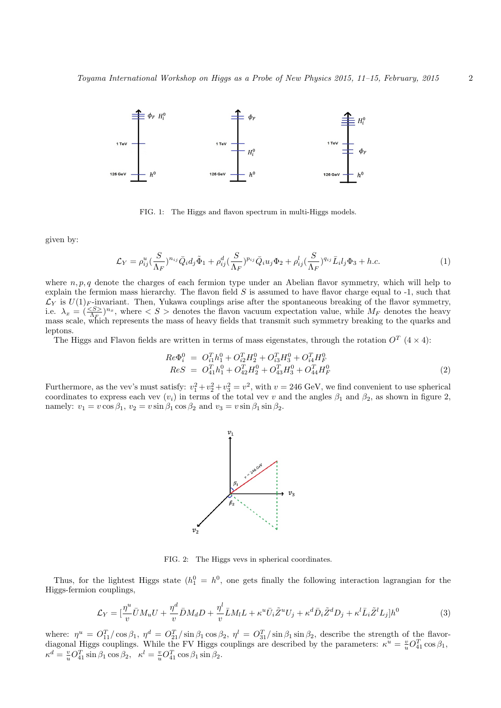

FIG. 1: The Higgs and flavon spectrum in multi-Higgs models.

given by:

$$
\mathcal{L}_Y = \rho_{ij}^u \left(\frac{S}{\Lambda_F}\right)^{n_{ij}} \bar{Q}_i d_j \tilde{\Phi}_1 + \rho_{ij}^d \left(\frac{S}{\Lambda_F}\right)^{p_{ij}} \bar{Q}_i u_j \Phi_2 + \rho_{ij}^l \left(\frac{S}{\Lambda_F}\right)^{q_{ij}} \bar{L}_i l_j \Phi_3 + h.c.
$$
 (1)

where  $n, p, q$  denote the charges of each fermion type under an Abelian flavor symmetry, which will help to explain the fermion mass hierarchy. The flavon field  $S$  is assumed to have flavor charge equal to  $-1$ , such that  $\mathcal{L}_Y$  is  $U(1)_F$ -invariant. Then, Yukawa couplings arise after the spontaneous breaking of the flavor symmetry, i.e.  $\lambda_x = (\frac{~~}{\Lambda_F})^{n_x}~~$ , where  $< S >$  denotes the flavon vacuum expectation value, while  $M_F$  denotes the heavy mass scale, which represents the mass of heavy fields that transmit such symmetry breaking to the quarks and leptons.

The Higgs and Flavon fields are written in terms of mass eigenstates, through the rotation  $O^T$  (4 × 4):

$$
Re\Phi_i^0 = O_{i1}^T h_1^0 + O_{i2}^T H_2^0 + O_{i3}^T H_3^0 + O_{i4}^T H_F^0
$$
  
\n
$$
ReS = O_{41}^T h_1^0 + O_{42}^T H_2^0 + O_{43}^T H_3^0 + O_{44}^T H_F^0
$$
\n(2)

Furthermore, as the vev's must satisfy:  $v_1^2 + v_2^2 + v_3^2 = v^2$ , with  $v = 246$  GeV, we find convenient to use spherical coordinates to express each vev  $(v_i)$  in terms of the total vev v and the angles  $\beta_1$  and  $\beta_2$ , as shown in figure 2, namely:  $v_1 = v \cos \beta_1$ ,  $v_2 = v \sin \beta_1 \cos \beta_2$  and  $v_3 = v \sin \beta_1 \sin \beta_2$ .



FIG. 2: The Higgs vevs in spherical coordinates.

Thus, for the lightest Higgs state  $(h_1^0 = h^0)$ , one gets finally the following interaction lagrangian for the Higgs-fermion couplings,

$$
\mathcal{L}_Y = \left[\frac{\eta^u}{v}\bar{U}M_uU + \frac{\eta^d}{v}\bar{D}M_dD + \frac{\eta^l}{v}\bar{L}M_lL + \kappa^u\bar{U}_i\tilde{Z}^uU_j + \kappa^d\bar{D}_i\tilde{Z}^dD_j + \kappa^l\bar{L}_i\tilde{Z}^lL_j\right]h^0\tag{3}
$$

where:  $\eta^u = O_{11}^T/\cos\beta_1$ ,  $\eta^d = O_{21}^T/\sin\beta_1\cos\beta_2$ ,  $\eta^l = O_{31}^T/\sin\beta_1\sin\beta_2$ , describe the strength of the flavordiagonal Higgs couplings. While the FV Higgs couplings are described by the parameters:  $\kappa^u = \frac{v}{u} O_{41}^T \cos \beta_1$ ,  $\kappa^d = \frac{v}{u} O_{41}^T \sin \beta_1 \cos \beta_2$ ,  $\kappa^l = \frac{v}{u} O_{41}^T \cos \beta_1 \sin \beta_2$ .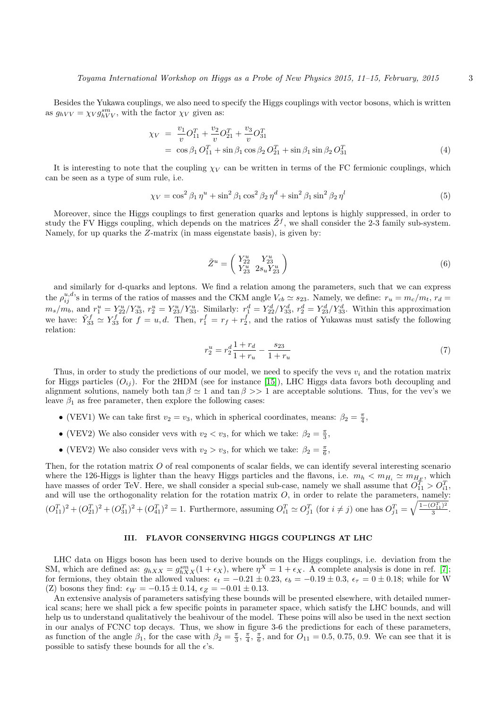Besides the Yukawa couplings, we also need to specify the Higgs couplings with vector bosons, which is written as  $g_{hVV} = \chi_V g_{hVV}^{sm}$ , with the factor  $\chi_V$  given as:

$$
\chi_V = \frac{v_1}{v} O_{11}^T + \frac{v_2}{v} O_{21}^T + \frac{v_3}{v} O_{31}^T
$$
  
=  $\cos \beta_1 O_{11}^T + \sin \beta_1 \cos \beta_2 O_{21}^T + \sin \beta_1 \sin \beta_2 O_{31}^T$  (4)

It is interesting to note that the coupling  $\chi_V$  can be written in terms of the FC fermionic couplings, which can be seen as a type of sum rule, i.e.

$$
\chi_V = \cos^2 \beta_1 \eta^u + \sin^2 \beta_1 \cos^2 \beta_2 \eta^d + \sin^2 \beta_1 \sin^2 \beta_2 \eta^l \tag{5}
$$

Moreover, since the Higgs couplings to first generation quarks and leptons is highly suppressed, in order to study the FV Higgs coupling, which depends on the matrices  $\tilde{Z}^f$ , we shall consider the 2-3 family sub-system. Namely, for up quarks the Z-matrix (in mass eigenstate basis), is given by:

$$
\tilde{Z}^u = \begin{pmatrix} Y_{22}^u & Y_{23}^u \\ Y_{23}^u & 2s_u Y_{23}^u \end{pmatrix} \tag{6}
$$

and similarly for d-quarks and leptons. We find a relation among the parameters, such that we can express the  $\rho_{ij}^{u,d}$ 's in terms of the ratios of masses and the CKM angle  $V_{cb} \simeq s_{23}$ . Namely, we define:  $r_u = m_c/m_t$ ,  $r_d =$  $m_s/m_b$ , and  $r_1^u = Y_{22}^u/Y_{33}^u$ ,  $r_2^u = Y_{23}^u/Y_{33}^u$ . Similarly:  $r_1^d = Y_{22}^d/Y_{33}^d$ ,  $r_2^d = Y_{23}^d/Y_{33}^d$ . Within this approximation we have:  $\tilde{Y}_{33}^f \simeq Y_{33}^f$  for  $f = u, d$ . Then,  $r_1^f = r_f + r_2^f$ , and the ratios of Yukawas must satisfy the following relation:

$$
r_2^u = r_2^d \frac{1+r_d}{1+r_u} - \frac{s_{23}}{1+r_u} \tag{7}
$$

Thus, in order to study the predictions of our model, we need to specify the vevs  $v_i$  and the rotation matrix for Higgs particles  $(O_{ij})$ . For the 2HDM (see for instance [\[15\]](#page-5-15)), LHC Higgs data favors both decoupling and alignment solutions, namely both  $\tan \beta \simeq 1$  and  $\tan \beta >> 1$  are acceptable solutions. Thus, for the vev's we leave  $\beta_1$  as free parameter, then explore the following cases:

- (VEV1) We can take first  $v_2 = v_3$ , which in spherical coordinates, means:  $\beta_2 = \frac{\pi}{4}$ ,
- (VEV2) We also consider vevs with  $v_2 < v_3$ , for which we take:  $\beta_2 = \frac{\pi}{3}$ ,
- (VEV2) We also consider vevs with  $v_2 > v_3$ , for which we take:  $\beta_2 = \frac{\pi}{6}$ ,

Then, for the rotation matrix O of real components of scalar fields, we can identify several interesting scenario where the 126-Higgs is lighter than the heavy Higgs particles and the flavons, i.e.  $m_h < m_{H_i} \simeq m_{H_F}$ , which have masses of order TeV. Here, we shall consider a special sub-case, namely we shall assume that  $O_{11}^T > O_{i1}^T$ , and will use the orthogonality relation for the rotation matrix  $O$ , in order to relate the parameters, namely:  $(O_{11}^T)^2 + (O_{21}^T)^2 + (O_{31}^T)^2 + (O_{41}^T)^2 = 1$ . Furthermore, assuming  $O_{i1}^T \simeq O_{j1}^T$  (for  $i \neq j$ ) one has  $O_{j1}^T = \sqrt{\frac{1-(O_{11}^T)^2}{3}}$  $\frac{O_{11}^2)^2}{3}$ .

## III. FLAVOR CONSERVING HIGGS COUPLINGS AT LHC

LHC data on Higgs boson has been used to derive bounds on the Higgs couplings, i.e. deviation from the SM, which are defined as:  $g_{hXX} = g_{hXX}^{sm}(1 + \epsilon_X)$ , where  $\eta^X = 1 + \epsilon_X$ . A complete analysis is done in ref. [\[7\]](#page-5-6); for fermions, they obtain the allowed values:  $\epsilon_t = -0.21 \pm 0.23$ ,  $\epsilon_b = -0.19 \pm 0.3$ ,  $\epsilon_\tau = 0 \pm 0.18$ ; while for W (Z) bosons they find:  $\epsilon_W = -0.15 \pm 0.14$ ,  $\epsilon_Z = -0.01 \pm 0.13$ .

An extensive analysis of parameters satisfying these bounds will be presented elsewhere, with detailed numerical scans; here we shall pick a few specific points in parameter space, which satisfy the LHC bounds, and will help us to understand qualitatively the beahivour of the model. These poins will also be used in the next section in our analys of FCNC top decays. Thus, we show in figure 3-6 the predictions for each of these parameters, as function of the angle  $\beta_1$ , for the case with  $\beta_2 = \frac{\pi}{3}, \frac{\pi}{4}, \frac{\pi}{6}$ , and for  $\overline{O}_{11} = 0.5, 0.75, 0.9$ . We can see that it is possible to satisfy these bounds for all the  $\epsilon$ 's.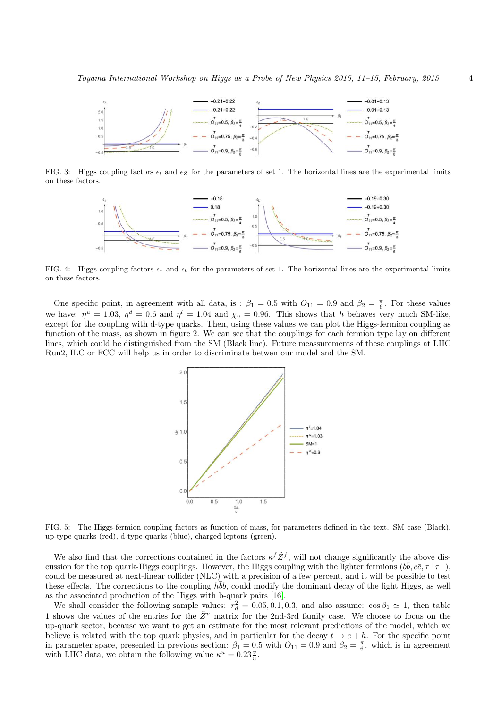

FIG. 3: Higgs coupling factors  $\epsilon_t$  and  $\epsilon_z$  for the parameters of set 1. The horizontal lines are the experimental limits on these factors.



FIG. 4: Higgs coupling factors  $\epsilon_{\tau}$  and  $\epsilon_{b}$  for the parameters of set 1. The horizontal lines are the experimental limits on these factors.

One specific point, in agreement with all data, is :  $\beta_1 = 0.5$  with  $O_{11} = 0.9$  and  $\beta_2 = \frac{\pi}{6}$ . For these values we have:  $\eta^u = 1.03$ ,  $\eta^d = 0.6$  and  $\eta^l = 1.04$  and  $\chi_v = 0.96$ . This shows that h behaves very much SM-like, except for the coupling with d-type quarks. Then, using these values we can plot the Higgs-fermion coupling as function of the mass, as shown in figure 2. We can see that the couplings for each fermion type lay on different lines, which could be distinguished from the SM (Black line). Future meassurements of these couplings at LHC Run2, ILC or FCC will help us in order to discriminate betwen our model and the SM.



FIG. 5: The Higgs-fermion coupling factors as function of mass, for parameters defined in the text. SM case (Black), up-type quarks (red), d-type quarks (blue), charged leptons (green).

We also find that the corrections contained in the factors  $\kappa^f \tilde{Z}^f$ , will not change significantly the above discussion for the top quark-Higgs couplings. However, the Higgs coupling with the lighter fermions  $(b\bar{b}, c\bar{c}, \tau^+\tau^-)$ , could be measured at next-linear collider (NLC) with a precision of a few percent, and it will be possible to test these effects. The corrections to the coupling  $h\bar{b}b$ , could modify the dominant decay of the light Higgs, as well as the associated production of the Higgs with b-quark pairs [\[16\]](#page-5-16).

We shall consider the following sample values:  $r_d^2 = 0.05, 0.1, 0.3$ , and also assume:  $\cos \beta_1 \simeq 1$ , then table 1 shows the values of the entries for the  $\tilde{Z}^u$  matrix for the 2nd-3rd family case. We choose to focus on the up-quark sector, because we want to get an estimate for the most relevant predictions of the model, which we believe is related with the top quark physics, and in particular for the decay  $t \to c + h$ . For the specific point in parameter space, presented in previous section:  $\beta_1 = 0.5$  with  $O_{11} = 0.9$  and  $\beta_2 = \frac{\pi}{6}$ . which is in agreement with LHC data, we obtain the following value  $\kappa^u = 0.23 \frac{v}{u}$ .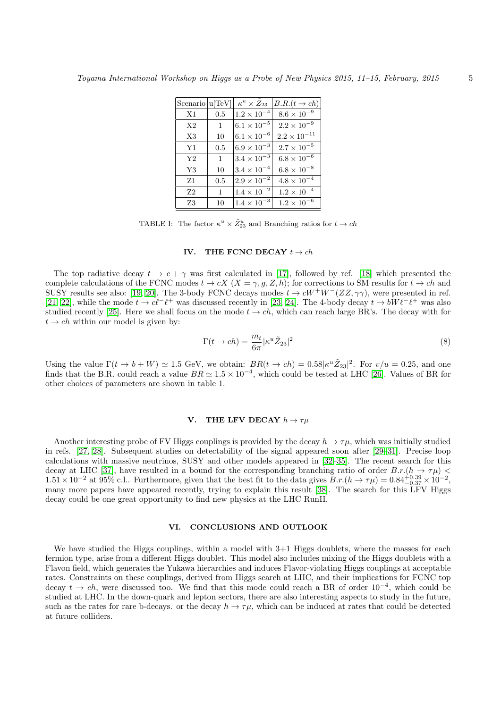| Scenario  u TeV |              | $\kappa^u \times Z_{23}$ | $B.R.(t \rightarrow ch)$ |
|-----------------|--------------|--------------------------|--------------------------|
| X1              | 0.5          | $1.2 \times 10^{-4}$     | $8.6 \times 10^{-9}$     |
| X2              | $\mathbf{1}$ | $6.1 \times 10^{-5}$     | $2.2 \times 10^{-9}$     |
| X3              | 10           | $6.1 \times 10^{-6}$     | $2.2 \times 10^{-11}$    |
| Y1              | 0.5          | $6.9 \times 10^{-3}$     | $2.7 \times 10^{-5}$     |
| Y2              | $\mathbf{1}$ | $3.4 \times 10^{-3}$     | $6.8 \times 10^{-6}$     |
| Y3              | 10           | $3.4 \times 10^{-4}$     | $6.8 \times 10^{-8}$     |
| $Z_1$           | 0.5          | $2.9 \times 10^{-2}$     | $4.8 \times 10^{-4}$     |
| Z <sub>2</sub>  | 1            | $1.4 \times 10^{-2}$     | $1.2 \times 10^{-4}$     |
| Z3              | 10           | $1.4 \times 10^{-3}$     | $1.2 \times 10^{-6}$     |

TABLE I: The factor  $\kappa^u \times \tilde{Z}_{23}^u$  and Branching ratios for  $t \to ch$ 

#### IV. THE FCNC DECAY  $t \rightarrow ch$

The top radiative decay  $t \to c + \gamma$  was first calculated in [\[17\]](#page-5-17), followed by ref. [\[18\]](#page-5-18) which presented the complete calculations of the FCNC modes  $t \to cX$   $(X = \gamma, g, Z, h)$ ; for corrections to SM results for  $t \to ch$  and SUSY results see also: [\[19,](#page-5-19) [20\]](#page-5-20). The 3-body FCNC decays modes  $t \to cW^+W^-(ZZ, \gamma\gamma)$ , were presented in ref. [\[21,](#page-5-21) [22\]](#page-5-22), while the mode  $t \to c\ell^-\ell^+$  was discussed recently in [\[23,](#page-5-23) [24\]](#page-5-24). The 4-body decay  $t \to bW\ell^-\ell^+$  was also studied recently [\[25\]](#page-5-25). Here we shall focus on the mode  $t \to ch$ , which can reach large BR's. The decay with for  $t \rightarrow ch$  within our model is given by:

$$
\Gamma(t \to ch) = \frac{m_t}{6\pi} |\kappa^u \tilde{Z}_{23}|^2 \tag{8}
$$

Using the value  $\Gamma(t \to b+W) \simeq 1.5$  GeV, we obtain:  $BR(t \to ch) = 0.58|\kappa^u \tilde{Z}_{23}|^2$ . For  $v/u = 0.25$ , and one finds that the B.R. could reach a value  $BR \simeq 1.5 \times 10^{-4}$ , which could be tested at LHC [\[26\]](#page-5-26). Values of BR for other choices of parameters are shown in table 1.

## V. THE LFV DECAY  $h \to \tau u$

Another interesting probe of FV Higgs couplings is provided by the decay  $h \to \tau \mu$ , which was initially studied in refs. [\[27,](#page-5-27) [28\]](#page-5-28). Subsequent studies on detectability of the signal appeared soon after [\[29–](#page-5-29)[31\]](#page-5-30). Precise loop calculations with massive neutrinos, SUSY and other models appeared in [\[32](#page-5-31)[–35\]](#page-5-32). The recent search for this decay at LHC [\[37\]](#page-5-33), have resulted in a bound for the corresponding branching ratio of order  $B.r.(h \to \tau\mu)$  $1.51 \times 10^{-2}$  at 95% c.l.. Furthermore, given that the best fit to the data gives  $B.r.(h \to \tau\mu) = 0.84^{+0.39}_{-0.37} \times 10^{-2}$ , many more papers have appeared recently, trying to explain this result [\[38\]](#page-5-34). The search for this LFV Higgs decay could be one great opportunity to find new physics at the LHC RunII.

# VI. CONCLUSIONS AND OUTLOOK

We have studied the Higgs couplings, within a model with  $3+1$  Higgs doublets, where the masses for each fermion type, arise from a different Higgs doublet. This model also includes mixing of the Higgs doublets with a Flavon field, which generates the Yukawa hierarchies and induces Flavor-violating Higgs couplings at acceptable rates. Constraints on these couplings, derived from Higgs search at LHC, and their implications for FCNC top decay  $t \to ch$ , were discussed too. We find that this mode could reach a BR of order  $10^{-4}$ , which could be studied at LHC. In the down-quark and lepton sectors, there are also interesting aspects to study in the future, such as the rates for rare b-decays. or the decay  $h \to \tau\mu$ , which can be induced at rates that could be detected at future colliders.